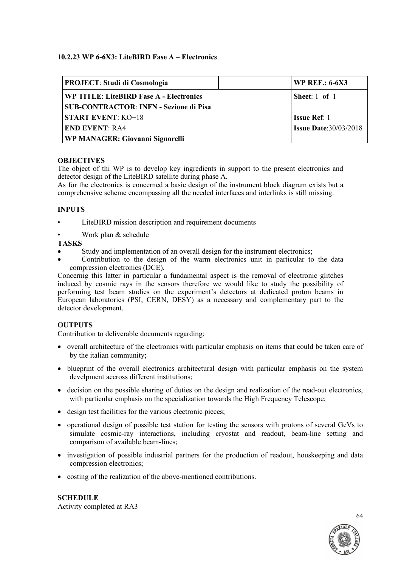# **10.2.23 WP 6-6X3: LiteBIRD Fase A – Electronics**

| <b>PROJECT: Studi di Cosmologia</b>           | <b>WP REF.: 6-6X3</b>        |
|-----------------------------------------------|------------------------------|
| WP TITLE: LiteBIRD Fase A - Electronics       | Sheet: 1 of 1                |
| <b>SUB-CONTRACTOR: INFN - Sezione di Pisa</b> |                              |
| <b>START EVENT: KO+18</b>                     | <b>Issue Ref: 1</b>          |
| <b>END EVENT: RA4</b>                         | <b>Issue Date:30/03/2018</b> |
| <b>WP MANAGER: Giovanni Signorelli</b>        |                              |

## **OBJECTIVES**

The object of thi WP is to develop key ingredients in support to the present electronics and detector design of the LiteBIRD satellite during phase A.

As for the electronics is concerned a basic design of the instrument block diagram exists but a comprehensive scheme encompassing all the needed interfaces and interlinks is still missing.

### **INPUTS**

- LiteBIRD mission description and requirement documents
- Work plan & schedule

## **TASKS**

- Study and implementation of an overall design for the instrument electronics;
- Contribution to the design of the warm electronics unit in particular to the data compression electronics (DCE).

Concernig this latter in particular a fundamental aspect is the removal of electronic glitches induced by cosmic rays in the sensors therefore we would like to study the possibility of performing test beam studies on the experiment's detectors at dedicated proton beams in European laboratories (PSI, CERN, DESY) as a necessary and complementary part to the detector development.

# **OUTPUTS**

Contribution to deliverable documents regarding:

- overall architecture of the electronics with particular emphasis on items that could be taken care of by the italian community;
- blueprint of the overall electronics architectural design with particular emphasis on the system develpment accross different institutions;
- decision on the possible sharing of duties on the design and realization of the read-out electronics, with particular emphasis on the specialization towards the High Frequency Telescope;
- design test facilities for the various electronic pieces:
- operational design of possible test station for testing the sensors with protons of several GeVs to simulate cosmic-ray interactions, including cryostat and readout, beam-line setting and comparison of available beam-lines;
- investigation of possible industrial partners for the production of readout, houskeeping and data compression electronics;
- costing of the realization of the above-mentioned contributions.

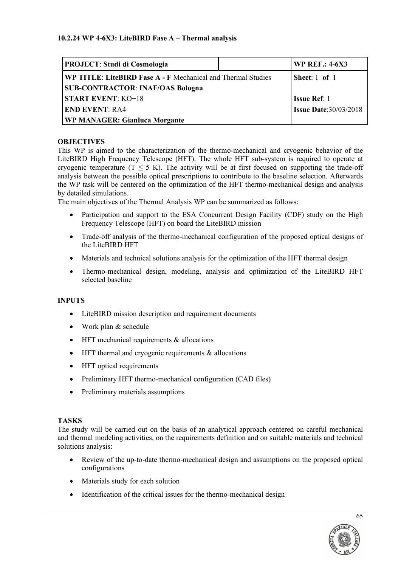| <b>PROJECT: Studi di Cosmologia</b>                          |  | <b>WP REF.: 4-6X3</b>        |
|--------------------------------------------------------------|--|------------------------------|
| WP TITLE: LiteBIRD Fase A - F Mechanical and Thermal Studies |  | Sheet: $1$ of $1$            |
| <b>SUB-CONTRACTOR: INAF/OAS Bologna</b>                      |  |                              |
| <b>START EVENT: KO+18</b>                                    |  | <b>Issue Ref: 1</b>          |
| <b>END EVENT: RA4</b>                                        |  | <b>Issue Date:30/03/2018</b> |
| <b>WP MANAGER: Gianluca Morgante</b>                         |  |                              |

# **OBJECTIVES**

This WP is aimed to the characterization of the thermo-mechanical and cryogenic behavior of the LiteBIRD High Frequency Telescope (HFT). The whole HFT sub-system is required to operate at cryogenic temperature  $(T \le 5 K)$ . The activity will be at first focused on supporting the trade-off analysis between the possible optical prescriptions to contribute to the baseline selection. Afterwards the WP task will be centered on the optimization of the HFT thermo-mechanical design and analysis by detailed simulations.

The main objectives of the Thermal Analysis WP can be summarized as follows:

- Participation and support to the ESA Concurrent Design Facility (CDF) study on the High Frequency Telescope (HFT) on board the LiteBIRD mission
- Trade-off analysis of the thermo-mechanical configuration of the proposed optical designs of the LiteBIRD HFT
- Materials and technical solutions analysis for the optimization of the HFT thermal design
- Thermo-mechanical design, modeling, analysis and optimization of the LiteBIRD HFT selected baseline

# **INPUTS**

- LiteBIRD mission description and requirement documents
- Work plan & schedule
- HFT mechanical requirements & allocations
- HFT thermal and cryogenic requirements & allocations
- HFT optical requirements
- Preliminary HFT thermo-mechanical configuration (CAD files)
- Preliminary materials assumptions

### **TASKS**

The study will be carried out on the basis of an analytical approach centered on careful mechanical and thermal modeling activities, on the requirements definition and on suitable materials and technical solutions analysis:

- Review of the up-to-date thermo-mechanical design and assumptions on the proposed optical configurations
- Materials study for each solution
- Identification of the critical issues for the thermo-mechanical design